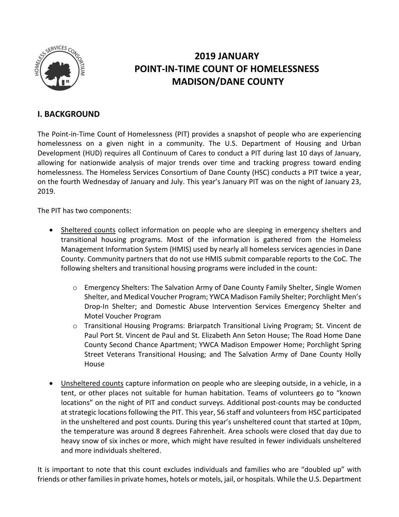

# **2019 JANUARY POINT-IN-TIME COUNT OF HOMELESSNESS MADISON/DANE COUNTY**

## **I. BACKGROUND**

The Point-in-Time Count of Homelessness (PIT) provides a snapshot of people who are experiencing homelessness on a given night in a community. The U.S. Department of Housing and Urban Development (HUD) requires all Continuum of Cares to conduct a PIT during last 10 days of January, allowing for nationwide analysis of major trends over time and tracking progress toward ending homelessness. The Homeless Services Consortium of Dane County (HSC) conducts a PIT twice a year, on the fourth Wednesday of January and July. This year's January PIT was on the night of January 23, 2019.

The PIT has two components:

- Sheltered counts collect information on people who are sleeping in emergency shelters and transitional housing programs. Most of the information is gathered from the Homeless Management Information System (HMIS) used by nearly all homeless services agencies in Dane County. Community partners that do not use HMIS submit comparable reports to the CoC. The following shelters and transitional housing programs were included in the count:
	- o Emergency Shelters: The Salvation Army of Dane County Family Shelter, Single Women Shelter, and Medical Voucher Program; YWCA Madison Family Shelter; Porchlight Men's Drop-In Shelter; and Domestic Abuse Intervention Services Emergency Shelter and Motel Voucher Program
	- o Transitional Housing Programs: Briarpatch Transitional Living Program; St. Vincent de Paul Port St. Vincent de Paul and St. Elizabeth Ann Seton House; The Road Home Dane County Second Chance Apartment; YWCA Madison Empower Home; Porchlight Spring Street Veterans Transitional Housing; and The Salvation Army of Dane County Holly House
- Unsheltered counts capture information on people who are sleeping outside, in a vehicle, in a tent, or other places not suitable for human habitation. Teams of volunteers go to "known locations" on the night of PIT and conduct surveys. Additional post-counts may be conducted at strategic locations following the PIT. This year, 56 staff and volunteers from HSC participated in the unsheltered and post counts. During this year's unsheltered count that started at 10pm, the temperature was around 8 degrees Fahrenheit. Area schools were closed that day due to heavy snow of six inches or more, which might have resulted in fewer individuals unsheltered and more individuals sheltered.

It is important to note that this count excludes individuals and families who are "doubled up" with friends or other families in private homes, hotels or motels, jail, or hospitals. While the U.S. Department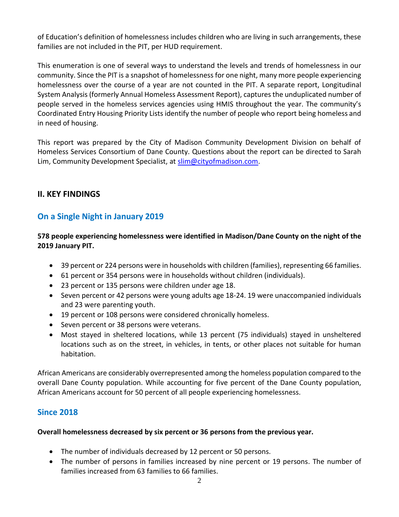of Education's definition of homelessness includes children who are living in such arrangements, these families are not included in the PIT, per HUD requirement.

This enumeration is one of several ways to understand the levels and trends of homelessness in our community. Since the PIT is a snapshot of homelessness for one night, many more people experiencing homelessness over the course of a year are not counted in the PIT. A separate report, Longitudinal System Analysis (formerly Annual Homeless Assessment Report), captures the unduplicated number of people served in the homeless services agencies using HMIS throughout the year. The community's Coordinated Entry Housing Priority Lists identify the number of people who report being homeless and in need of housing.

This report was prepared by the City of Madison Community Development Division on behalf of Homeless Services Consortium of Dane County. Questions about the report can be directed to Sarah Lim, Community Development Specialist, at [slim@cityofmadison.com.](mailto:slim@cityofmadison.com)

## **II. KEY FINDINGS**

# **On a Single Night in January 2019**

**578 people experiencing homelessness were identified in Madison/Dane County on the night of the 2019 January PIT.**

- 39 percent or 224 persons were in households with children (families), representing 66 families.
- 61 percent or 354 persons were in households without children (individuals).
- 23 percent or 135 persons were children under age 18.
- Seven percent or 42 persons were young adults age 18-24. 19 were unaccompanied individuals and 23 were parenting youth.
- 19 percent or 108 persons were considered chronically homeless.
- Seven percent or 38 persons were veterans.
- Most stayed in sheltered locations, while 13 percent (75 individuals) stayed in unsheltered locations such as on the street, in vehicles, in tents, or other places not suitable for human habitation.

African Americans are considerably overrepresented among the homeless population compared to the overall Dane County population. While accounting for five percent of the Dane County population, African Americans account for 50 percent of all people experiencing homelessness.

## **Since 2018**

## **Overall homelessness decreased by six percent or 36 persons from the previous year.**

- The number of individuals decreased by 12 percent or 50 persons.
- The number of persons in families increased by nine percent or 19 persons. The number of families increased from 63 families to 66 families.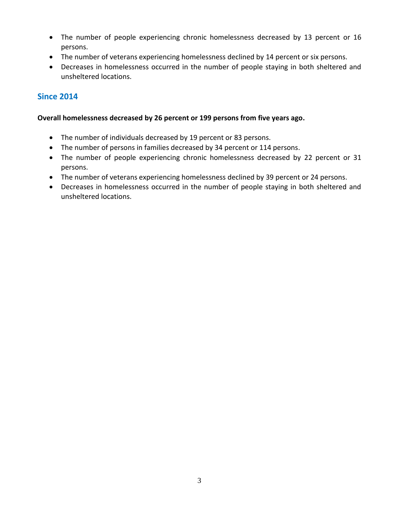- The number of people experiencing chronic homelessness decreased by 13 percent or 16 persons.
- The number of veterans experiencing homelessness declined by 14 percent or six persons.
- Decreases in homelessness occurred in the number of people staying in both sheltered and unsheltered locations.

# **Since 2014**

### **Overall homelessness decreased by 26 percent or 199 persons from five years ago.**

- The number of individuals decreased by 19 percent or 83 persons.
- The number of persons in families decreased by 34 percent or 114 persons.
- The number of people experiencing chronic homelessness decreased by 22 percent or 31 persons.
- The number of veterans experiencing homelessness declined by 39 percent or 24 persons.
- Decreases in homelessness occurred in the number of people staying in both sheltered and unsheltered locations.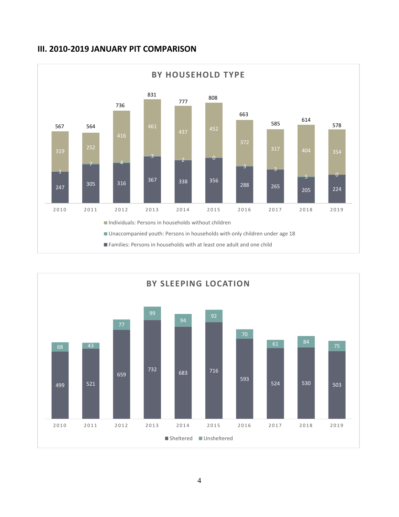## **III. 2010-2019 JANUARY PIT COMPARISON**



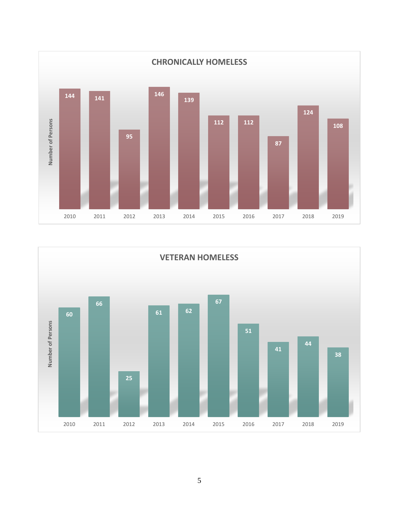

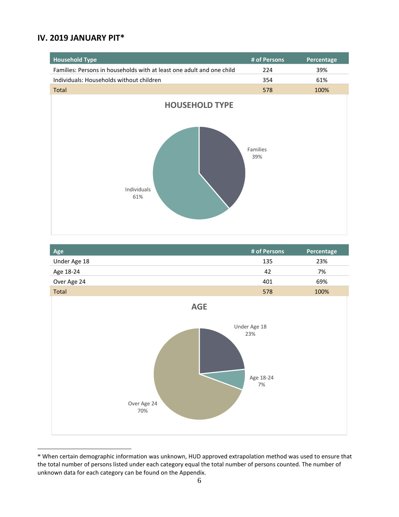## **IV. 2019 JANUARY PIT\***



| Age          | # of Persons | Percentage                         |
|--------------|--------------|------------------------------------|
| Under Age 18 | 135          | 23%                                |
| Age 18-24    | 42           | 7%                                 |
| Over Age 24  | 401          | 69%                                |
| __           | $- - -$      | $\sim$ $\sim$ $\sim$ $\sim$ $\sim$ |



<sup>\*</sup> When certain demographic information was unknown, HUD approved extrapolation method was used to ensure that the total number of persons listed under each category equal the total number of persons counted. The number of unknown data for each category can be found on the Appendix.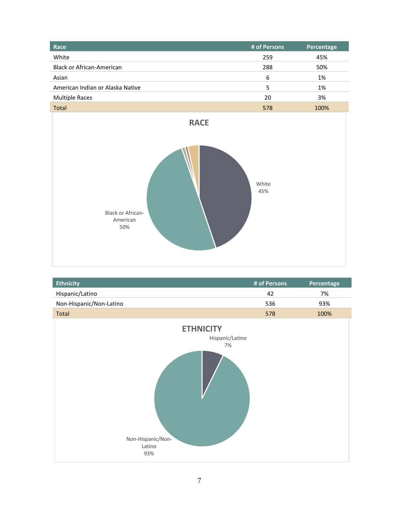| Race                             | # of Persons | Percentage |
|----------------------------------|--------------|------------|
| White                            | 259          | 45%        |
| <b>Black or African-American</b> | 288          | 50%        |
| Asian                            | 6            | 1%         |
| American Indian or Alaska Native | 5            | 1%         |
| <b>Multiple Races</b>            | 20           | 3%         |
| <b>Total</b>                     | 578          | 100%       |



| <b>Ethnicity</b>                                                                | # of Persons | Percentage |
|---------------------------------------------------------------------------------|--------------|------------|
| Hispanic/Latino                                                                 | 42           | 7%         |
| Non-Hispanic/Non-Latino                                                         | 536          | 93%        |
| Total                                                                           | 578          | 100%       |
| <b>ETHNICITY</b><br>Hispanic/Latino<br>7%<br>Non-Hispanic/Non-<br>Latino<br>93% |              |            |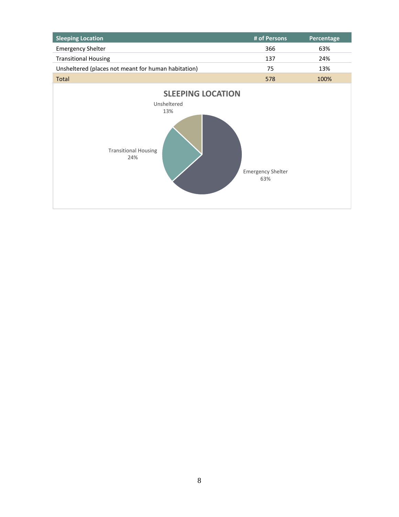| <b>Sleeping Location</b>                                                             | # of Persons                    | Percentage |
|--------------------------------------------------------------------------------------|---------------------------------|------------|
| <b>Emergency Shelter</b>                                                             | 366                             | 63%        |
| <b>Transitional Housing</b>                                                          | 137                             | 24%        |
| Unsheltered (places not meant for human habitation)                                  | 75                              | 13%        |
| <b>Total</b>                                                                         | 578                             | 100%       |
| <b>SLEEPING LOCATION</b><br>Unsheltered<br>13%<br><b>Transitional Housing</b><br>24% | <b>Emergency Shelter</b><br>63% |            |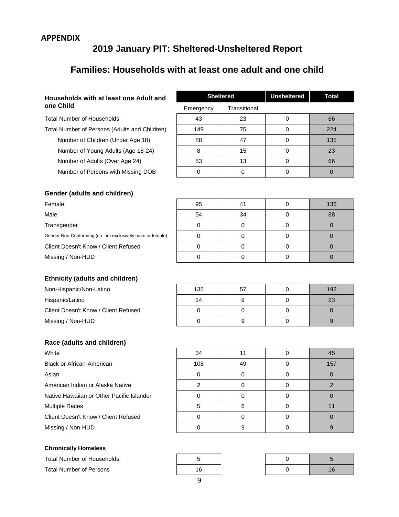## **APPENDIX**

# **2019 January PIT: Sheltered-Unsheltered Report**

# **Families: Households with at least one adult and one child**

#### **Households with at least one Adult and one Child**

Total Number of Households

Total Number of Persons (Adults and Children) Number of Children (Under Age 18) Number of Young Adults (Age 18-24)

Number of Adults (Over Age 24)

Number of Persons with Missing DOB

| <b>Sheltered</b> |              | <b>Unsheltered</b> | <b>Total</b> |
|------------------|--------------|--------------------|--------------|
| Emergency        | Transitional |                    |              |
| 43               | 23           |                    | 66           |
| 149              | 75           |                    | 224          |
| 88               | 47           |                    | 135          |
| 8                | 15           |                    | 23           |
| 53               | 13           |                    | 66           |
|                  |              |                    |              |

### **Gender (adults and children)**

#### **Ethnicity (adults and children)**

Non-Hispanic/Non-Latino Hispanic/Latino Client Doesn't Know / Client Refused Missing / Non-HUD

#### **Race (adults and children)**

#### **Chronically Homeless**

Total Number of Households **5** Total Number of Persons 16 0 16

| Female                                                      | 95 | 41 | 136 |
|-------------------------------------------------------------|----|----|-----|
| Male                                                        | 54 | 34 | 88  |
| Transgender                                                 |    |    |     |
| Gender Non-Conforming (i.e. not exclusively male or female) |    |    |     |
| Client Doesn't Know / Client Refused                        |    |    |     |
| Missing / Non-HUD                                           |    |    |     |

| 135 | 57 | 192 |
|-----|----|-----|
| 14  |    | 23  |
|     |    |     |
|     |    |     |

| 34<br>45<br>108<br>49<br>157 |                                           |  |  |
|------------------------------|-------------------------------------------|--|--|
|                              | White                                     |  |  |
|                              | Black or African-American                 |  |  |
|                              | Asian                                     |  |  |
|                              | American Indian or Alaska Native          |  |  |
|                              | Native Hawaiian or Other Pacific Islander |  |  |
|                              | <b>Multiple Races</b>                     |  |  |
|                              | Client Doesn't Know / Client Refused      |  |  |
|                              | Missing / Non-HUD                         |  |  |



| ი | 5  |
|---|----|
|   | 16 |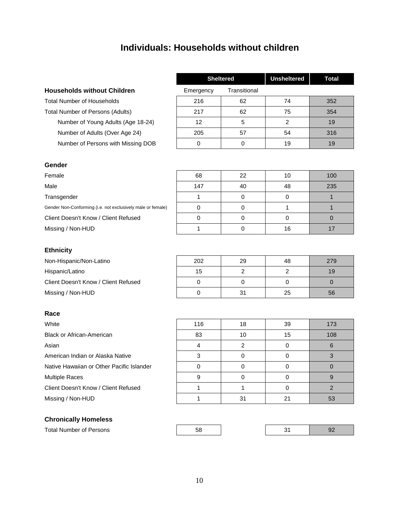# **Individuals: Households without children**

#### **Households without Children**

Total Number of Households Total Number of Persons (Adults) Number of Young Adults (Age 18-24) Number of Adults (Over Age 24) Number of Persons with Missing DOB

| <b>Sheltered</b>          |    | <b>Unsheltered</b> | <b>Total</b> |
|---------------------------|----|--------------------|--------------|
| Transitional<br>Emergency |    |                    |              |
| 216                       | 62 | 74                 | 352          |
| 217                       | 62 | 75                 | 354          |
| 12 <sup>2</sup>           | 5  | 2                  | 19           |
| 205                       | 57 | 54                 | 316          |
|                           |    | 19                 | 19           |

#### **Gender**

# Female 68 22 10 100 Male 147 | 40 | 48 | 235 | 49 Transgender  $\begin{vmatrix} 1 & 1 \\ 0 & 0 \end{vmatrix}$  0  $\begin{vmatrix} 0 & 1 \\ 0 & 1 \end{vmatrix}$  1 Gender Non-Conforming (i.e. not exclusively male or female) 0 0 1 1 Client Doesn't Know / Client Refused | 0 | 0 | 0 | 0 Missing / Non-HUD 1 0 16 17

#### **Ethnicity**

Non-Hispanic/Non-Latino Hispanic/Latino Client Doesn't Know / Client Refused Missing / Non-HUD

#### **Race**

#### **Chronically Homeless**

Total Number of Persons

| 202 | 29 | 48 | 279 |
|-----|----|----|-----|
| 15  |    |    | 19  |
|     |    |    |     |
|     | 31 | 25 | 56  |

| White                                     | 116 | 18 | 39 | 173 |
|-------------------------------------------|-----|----|----|-----|
| <b>Black or African-American</b>          | 83  | 10 | 15 | 108 |
| Asian                                     |     |    | 0  |     |
| American Indian or Alaska Native          |     |    |    |     |
| Native Hawaiian or Other Pacific Islander |     |    | O  |     |
| <b>Multiple Races</b>                     |     |    |    |     |
| Client Doesn't Know / Client Refused      |     |    |    |     |
| Missing / Non-HUD                         |     | 31 | 21 | 53  |